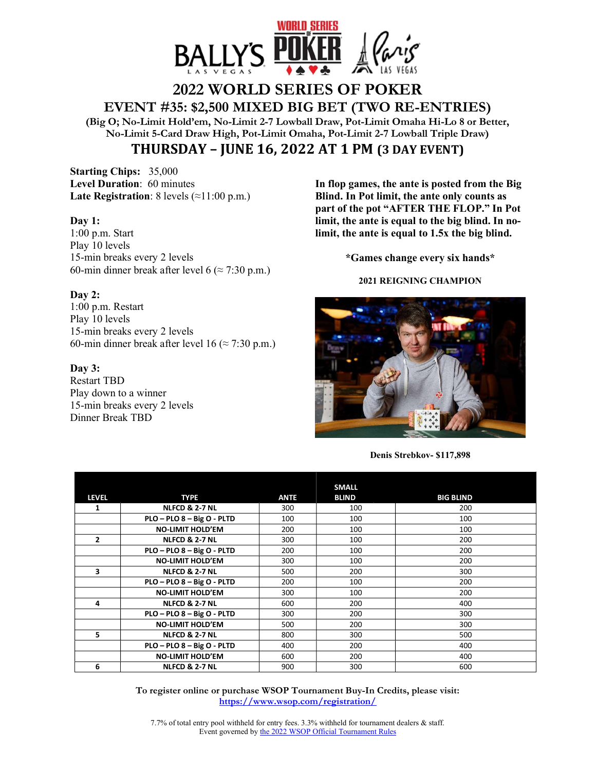

# **2022 WORLD SERIES OF POKER EVENT #35: \$2,500 MIXED BIG BET (TWO RE-ENTRIES)**

**(Big O; No-Limit Hold'em, No-Limit 2-7 Lowball Draw, Pot-Limit Omaha Hi-Lo 8 or Better, No-Limit 5-Card Draw High, Pot-Limit Omaha, Pot-Limit 2-7 Lowball Triple Draw) THURSDAY – JUNE 16, 2022 AT 1 PM (3 DAY EVENT)**

**Starting Chips:** 35,000 **Level Duration**: 60 minutes **Late Registration**: 8 levels  $(\approx 11:00 \text{ p.m.})$ 

## **Day 1:**

1:00 p.m. Start Play 10 levels 15-min breaks every 2 levels 60-min dinner break after level 6 ( $\approx$  7:30 p.m.)

## **Day 2:**

1:00 p.m. Restart Play 10 levels 15-min breaks every 2 levels 60-min dinner break after level 16 ( $\approx$  7:30 p.m.)

## **Day 3:**

Restart TBD Play down to a winner 15-min breaks every 2 levels Dinner Break TBD

**In flop games, the ante is posted from the Big Blind. In Pot limit, the ante only counts as part of the pot "AFTER THE FLOP." In Pot limit, the ante is equal to the big blind. In nolimit, the ante is equal to 1.5x the big blind.** 

**\*Games change every six hands\*** 

### **2021 REIGNING CHAMPION**



**Denis Strebkov- \$117,898** 

|                |                            |             | <b>SMALL</b> |                  |
|----------------|----------------------------|-------------|--------------|------------------|
| <b>LEVEL</b>   | <b>TYPE</b>                | <b>ANTE</b> | <b>BLIND</b> | <b>BIG BLIND</b> |
| 1              | <b>NLFCD &amp; 2-7 NL</b>  | 300         | 100          | 200              |
|                | PLO - PLO 8 - Big O - PLTD | 100         | 100          | 100              |
|                | <b>NO-LIMIT HOLD'EM</b>    | 200         | 100          | 100              |
| $\overline{2}$ | <b>NLFCD &amp; 2-7 NL</b>  | 300         | 100          | 200              |
|                | PLO - PLO 8 - Big O - PLTD | 200         | 100          | 200              |
|                | <b>NO-LIMIT HOLD'EM</b>    | 300         | 100          | 200              |
| 3              | <b>NLFCD &amp; 2-7 NL</b>  | 500         | 200          | 300              |
|                | PLO - PLO 8 - Big O - PLTD | 200         | 100          | 200              |
|                | <b>NO-LIMIT HOLD'EM</b>    | 300         | 100          | 200              |
| 4              | <b>NLFCD &amp; 2-7 NL</b>  | 600         | 200          | 400              |
|                | PLO - PLO 8 - Big O - PLTD | 300         | 200          | 300              |
|                | <b>NO-LIMIT HOLD'EM</b>    | 500         | 200          | 300              |
| 5.             | <b>NLFCD &amp; 2-7 NL</b>  | 800         | 300          | 500              |
|                | PLO - PLO 8 - Big O - PLTD | 400         | 200          | 400              |
|                | <b>NO-LIMIT HOLD'EM</b>    | 600         | 200          | 400              |
| 6              | <b>NLFCD &amp; 2-7 NL</b>  | 900         | 300          | 600              |

**To register online or purchase WSOP Tournament Buy-In Credits, please visit: https://www.wsop.com/registration/** 

7.7% of total entry pool withheld for entry fees. 3.3% withheld for tournament dealers & staff. Event governed by the 2022 WSOP Official Tournament Rules